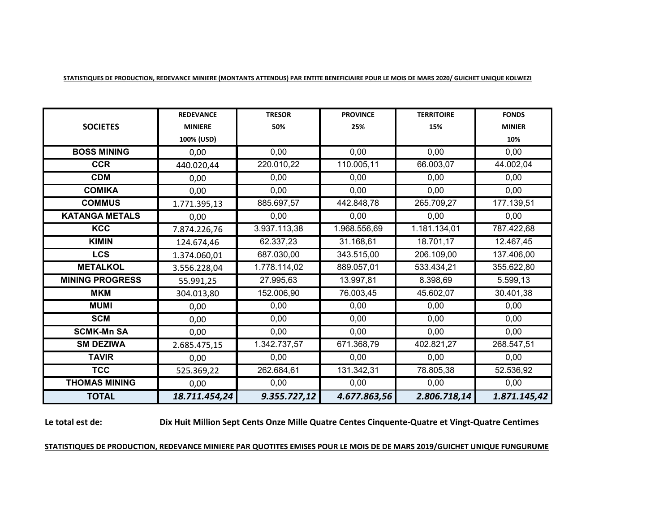|                        | <b>REDEVANCE</b> | <b>TRESOR</b> | <b>PROVINCE</b> | <b>TERRITOIRE</b> | <b>FONDS</b>  |
|------------------------|------------------|---------------|-----------------|-------------------|---------------|
| <b>SOCIETES</b>        | <b>MINIERE</b>   | 50%           | 25%             | 15%               | <b>MINIER</b> |
|                        | 100% (USD)       |               |                 |                   | 10%           |
| <b>BOSS MINING</b>     | 0,00             | 0,00          | 0,00            | 0,00              | 0,00          |
| <b>CCR</b>             | 440.020,44       | 220.010,22    | 110.005,11      | 66.003,07         | 44.002,04     |
| <b>CDM</b>             | 0,00             | 0,00          | 0.00            | 0,00              | 0,00          |
| <b>COMIKA</b>          | 0,00             | 0,00          | 0,00            | 0,00              | 0,00          |
| <b>COMMUS</b>          | 1.771.395,13     | 885.697,57    | 442.848,78      | 265.709,27        | 177.139,51    |
| <b>KATANGA METALS</b>  | 0,00             | 0,00          | 0,00            | 0,00              | 0,00          |
| <b>KCC</b>             | 7.874.226,76     | 3.937.113,38  | 1.968.556,69    | 1.181.134,01      | 787.422,68    |
| <b>KIMIN</b>           | 124.674,46       | 62.337,23     | 31.168,61       | 18.701,17         | 12.467,45     |
| <b>LCS</b>             | 1.374.060,01     | 687.030,00    | 343.515,00      | 206.109,00        | 137.406,00    |
| <b>METALKOL</b>        | 3.556.228,04     | 1.778.114,02  | 889.057,01      | 533.434,21        | 355.622,80    |
| <b>MINING PROGRESS</b> | 55.991,25        | 27.995,63     | 13.997,81       | 8.398,69          | 5.599,13      |
| <b>MKM</b>             | 304.013,80       | 152.006,90    | 76.003,45       | 45.602,07         | 30.401,38     |
| <b>MUMI</b>            | 0,00             | 0,00          | 0.00            | 0.00              | 0,00          |
| <b>SCM</b>             | 0,00             | 0,00          | 0,00            | 0,00              | 0,00          |
| <b>SCMK-Mn SA</b>      | 0,00             | 0,00          | 0,00            | 0,00              | 0,00          |
| <b>SM DEZIWA</b>       | 2.685.475,15     | 1.342.737,57  | 671.368,79      | 402.821,27        | 268.547,51    |
| <b>TAVIR</b>           | 0,00             | 0,00          | 0.00            | 0,00              | 0,00          |
| <b>TCC</b>             | 525.369,22       | 262.684,61    | 131.342,31      | 78.805,38         | 52.536,92     |
| <b>THOMAS MINING</b>   | 0,00             | 0,00          | 0,00            | 0,00              | 0,00          |
| <b>TOTAL</b>           | 18.711.454,24    | 9.355.727,12  | 4.677.863,56    | 2.806.718,14      | 1.871.145,42  |

**STATISTIQUES DE PRODUCTION, REDEVANCE MINIERE (MONTANTS ATTENDUS) PAR ENTITE BENEFICIAIRE POUR LE MOIS DE MARS 2020/ GUICHET UNIQUE KOLWEZI**

# **Le total est de:**

**Dix Huit Million Sept Cents Onze Mille Quatre Centes Cinquente-Quatre et Vingt-Quatre Centimes**

# **STATISTIQUES DE PRODUCTION, REDEVANCE MINIERE PAR QUOTITES EMISES POUR LE MOIS DE DE MARS 2019/GUICHET UNIQUE FUNGURUME**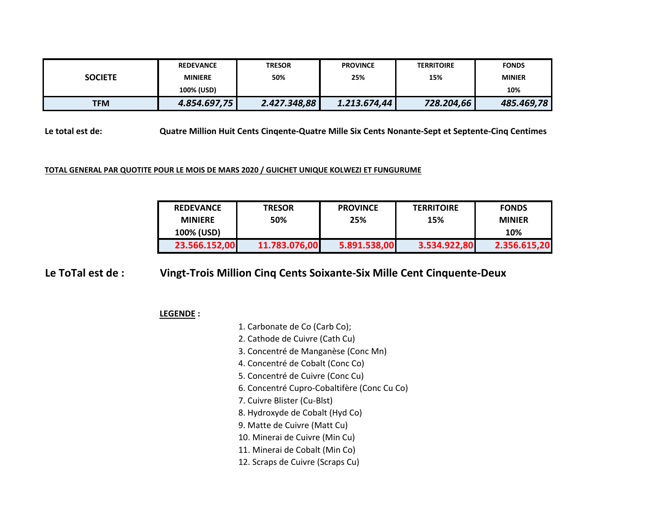| <b>SOCIETE</b> | <b>REDEVANCE</b> | <b>TRESOR</b> | <b>PROVINCE</b> | <b>TERRITOIRE</b> | <b>FONDS</b>  |  |
|----------------|------------------|---------------|-----------------|-------------------|---------------|--|
|                | <b>MINIERE</b>   | 50%           | 25%             | 15%               | <b>MINIER</b> |  |
|                | 100% (USD)       |               |                 |                   | 10%           |  |
| <b>TFM</b>     | 4.854.697,75     | 2.427.348,88  | 1.213.674,44    | 728.204,66        | 485.469,78    |  |

**Le total est de: Quatre Million Huit Cents Cinqente-Quatre Mille Six Cents Nonante-Sept et Septente-Cinq Centimes**

### **TOTAL GENERAL PAR QUOTITE POUR LE MOIS DE MARS 2020 / GUICHET UNIQUE KOLWEZI ET FUNGURUME**

| <b>REDEVANCE</b> | <b>TRESOR</b> | <b>PROVINCE</b> | <b>TERRITOIRE</b> | <b>FONDS</b>  |
|------------------|---------------|-----------------|-------------------|---------------|
| <b>MINIERE</b>   | 50%           | 25%             | 15%               | <b>MINIER</b> |
| 100% (USD)       |               |                 |                   | 10%           |
| 23.566.152,00    | 11.783.076,00 | 5.891.538,00    | 3.534.922,80      | 2.356.615,20  |

#### **Le ToTal est de : Vingt-Trois Million Cinq Cents Soixante-Six Mille Cent Cinquente-Deux**

## **LEGENDE :**

- 1. Carbonate de Co (Carb Co);
- 2. Cathode de Cuivre (Cath Cu)
- 3. Concentré de Manganèse (Conc Mn)
- 4. Concentré de Cobalt (Conc Co)
- 5. Concentré de Cuivre (Conc Cu)
- 6. Concentré Cupro-Cobaltifère (Conc Cu Co)
- 7. Cuivre Blister (Cu-Blst)
- 8. Hydroxyde de Cobalt (Hyd Co)
- 9. Matte de Cuivre (Matt Cu)
- 10. Minerai de Cuivre (Min Cu)
- 11. Minerai de Cobalt (Min Co)
- 12. Scraps de Cuivre (Scraps Cu)